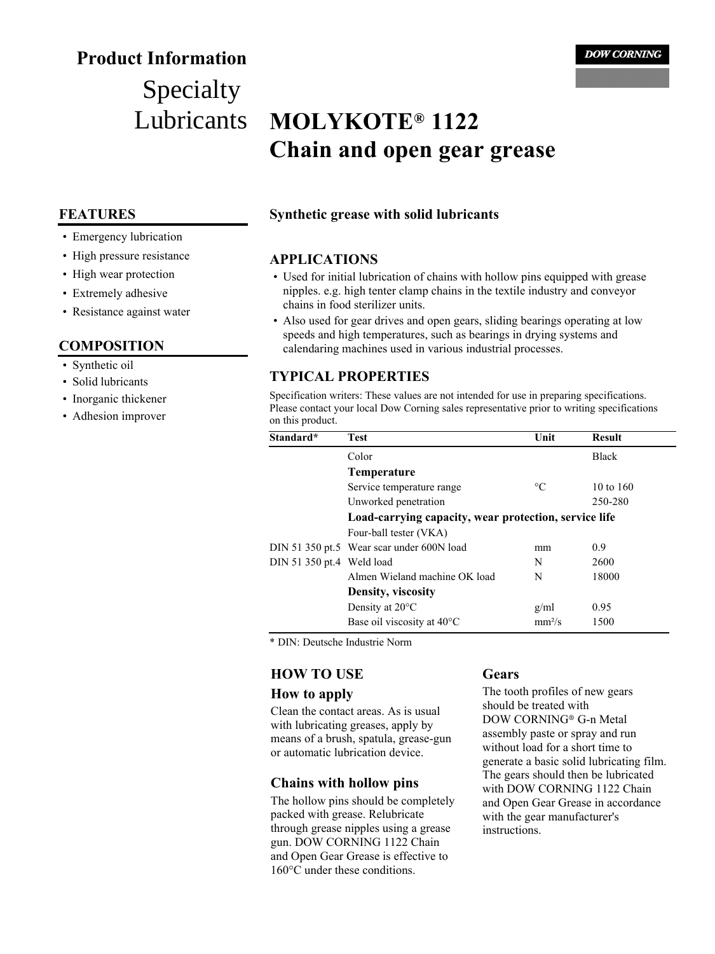# **Product Information**

# Specialty Lubricants

## **FEATURES**

- Emergency lubrication
- High pressure resistance
- High wear protection
- Extremely adhesive
- Resistance against water

## **COMPOSITION**

- Synthetic oil
- Solid lubricants
- Inorganic thickener
- Adhesion improver

# **MOLYKOTE® 1122 Chain and open gear grease**

## **Synthetic grease with solid lubricants**

### **APPLICATIONS**

- Used for initial lubrication of chains with hollow pins equipped with grease nipples. e.g. high tenter clamp chains in the textile industry and conveyor chains in food sterilizer units.
- Also used for gear drives and open gears, sliding bearings operating at low speeds and high temperatures, such as bearings in drying systems and calendaring machines used in various industrial processes.

# **TYPICAL PROPERTIES**

Specification writers: These values are not intended for use in preparing specifications. Please contact your local Dow Corning sales representative prior to writing specifications on this product.

| Standard*                 | Test                                                  | Unit            | <b>Result</b> |
|---------------------------|-------------------------------------------------------|-----------------|---------------|
|                           | Color                                                 |                 | <b>Black</b>  |
|                           | Temperature                                           |                 |               |
|                           | Service temperature range                             | $\rm ^{\circ}C$ | 10 to $160$   |
|                           | Unworked penetration                                  |                 | 250-280       |
|                           | Load-carrying capacity, wear protection, service life |                 |               |
|                           | Four-ball tester (VKA)                                |                 |               |
|                           | DIN 51 350 pt.5 Wear scar under 600N load             | mm              | 0.9           |
| DIN 51 350 pt.4 Weld load |                                                       | N               | 2600          |
|                           | Almen Wieland machine OK load                         | N               | 18000         |
|                           | Density, viscosity                                    |                 |               |
|                           | Density at 20°C                                       | g/ml            | 0.95          |
|                           | Base oil viscosity at $40^{\circ}$ C                  | $mm^2/s$        | 1500          |

\* DIN: Deutsche Industrie Norm

## **HOW TO USE**

#### **How to apply**

Clean the contact areas. As is usual with lubricating greases, apply by means of a brush, spatula, grease-gun or automatic lubrication device.

## **Chains with hollow pins**

The hollow pins should be completely packed with grease. Relubricate through grease nipples using a grease gun. DOW CORNING 1122 Chain and Open Gear Grease is effective to 160°C under these conditions.

## **Gears**

The tooth profiles of new gears should be treated with DOW CORNING® G-n Metal assembly paste or spray and run without load for a short time to generate a basic solid lubricating film. The gears should then be lubricated with DOW CORNING 1122 Chain and Open Gear Grease in accordance with the gear manufacturer's instructions.